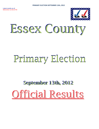

# Essex County

# Primary Election

## **September 13th, 2012** Official Results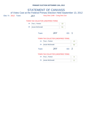### **PRIMARY ELECTION SEPTEMBER 13th, 2012**

## Elec Yr: 2012 Town: JAY Assy Dist 114th - Cong Dist 21st STATEMENT OF CANVASS of Votes Cast at the Federal Primary Election Held September 13, 2012 TOWN TAX COLLECTOR (UNEXPIRED TERM)

| 1B: | Tina L. Fenton      |  |
|-----|---------------------|--|
|     | 2B: Jessie McDonald |  |

## Town: **JAY** ED: 1

### TOWN TAX COLLECTOR (UNEXPIRED TERM)

|       | 1B: Tina L. Fenton  | 13 |
|-------|---------------------|----|
|       | 2B: Jessie McDonald |    |
| Town: | IA Y<br>FD.         |    |

### TOWN TAX COLLECTOR (UNEXPIRED TERM)

| 1B: | Tina L. Fenton      |  |
|-----|---------------------|--|
|     | 2B: Jessie McDonald |  |